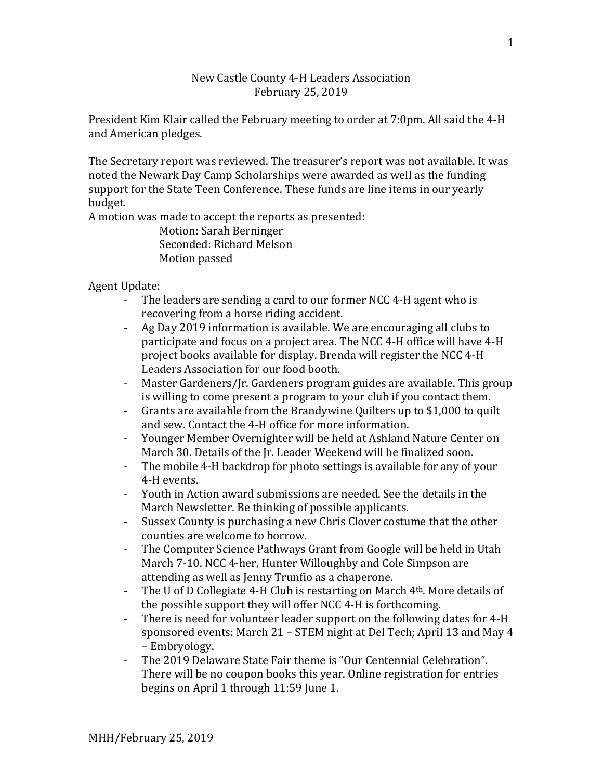## New Castle County 4-H Leaders Association February 25, 2019

President Kim Klair called the February meeting to order at 7:0pm. All said the 4-H and American pledges.

The Secretary report was reviewed. The treasurer's report was not available. It was noted the Newark Day Camp Scholarships were awarded as well as the funding support for the State Teen Conference. These funds are line items in our yearly budget.

A motion was made to accept the reports as presented:

Motion: Sarah Berninger Seconded: Richard Melson Motion passed

## Agent Update:

- The leaders are sending a card to our former NCC 4-H agent who is recovering from a horse riding accident.
- Ag Day 2019 information is available. We are encouraging all clubs to participate and focus on a project area. The NCC 4-H office will have 4-H project books available for display. Brenda will register the NCC 4-H Leaders Association for our food booth.
- Master Gardeners/Jr. Gardeners program guides are available. This group is willing to come present a program to your club if you contact them.
- Grants are available from the Brandywine Quilters up to \$1,000 to quilt and sew. Contact the 4-H office for more information.
- Younger Member Overnighter will be held at Ashland Nature Center on March 30. Details of the Jr. Leader Weekend will be finalized soon.
- The mobile 4-H backdrop for photo settings is available for any of your 4-H events.
- Youth in Action award submissions are needed. See the details in the March Newsletter. Be thinking of possible applicants.
- Sussex County is purchasing a new Chris Clover costume that the other counties are welcome to borrow.
- The Computer Science Pathways Grant from Google will be held in Utah March 7-10. NCC 4-her, Hunter Willoughby and Cole Simpson are attending as well as Jenny Trunfio as a chaperone.
- The U of D Collegiate 4-H Club is restarting on March 4th. More details of the possible support they will offer NCC 4-H is forthcoming.
- There is need for volunteer leader support on the following dates for 4-H sponsored events: March 21 – STEM night at Del Tech; April 13 and May 4 – Embryology.
- The 2019 Delaware State Fair theme is "Our Centennial Celebration". There will be no coupon books this year. Online registration for entries begins on April 1 through 11:59 June 1.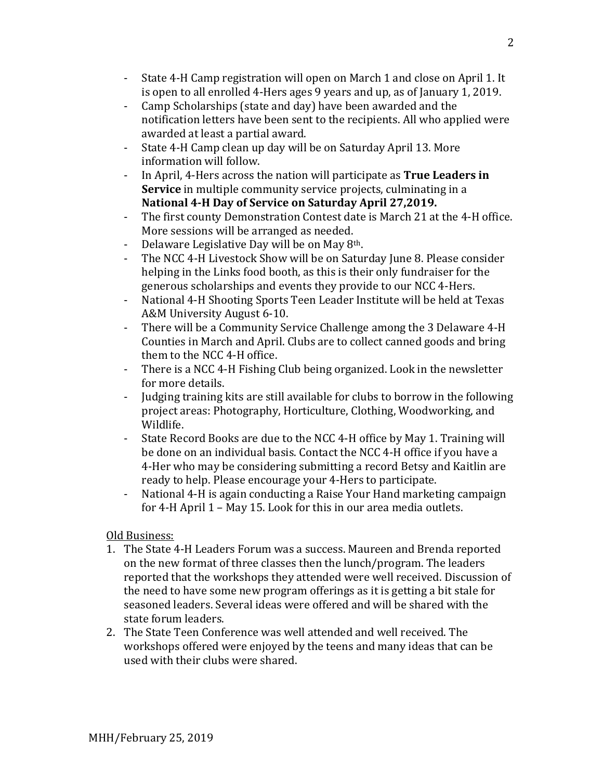- State 4-H Camp registration will open on March 1 and close on April 1. It is open to all enrolled 4-Hers ages 9 years and up, as of January 1, 2019.
- Camp Scholarships (state and day) have been awarded and the notification letters have been sent to the recipients. All who applied were awarded at least a partial award.
- State 4-H Camp clean up day will be on Saturday April 13. More information will follow.
- In April, 4-Hers across the nation will participate as **True Leaders in Service** in multiple community service projects, culminating in a **National 4-H Day of Service on Saturday April 27,2019.**
- The first county Demonstration Contest date is March 21 at the 4-H office. More sessions will be arranged as needed.
- Delaware Legislative Day will be on May 8<sup>th</sup>.
- The NCC 4-H Livestock Show will be on Saturday June 8. Please consider helping in the Links food booth, as this is their only fundraiser for the generous scholarships and events they provide to our NCC 4-Hers.
- National 4-H Shooting Sports Teen Leader Institute will be held at Texas A&M University August 6-10.
- There will be a Community Service Challenge among the 3 Delaware 4-H Counties in March and April. Clubs are to collect canned goods and bring them to the NCC 4-H office.
- There is a NCC 4-H Fishing Club being organized. Look in the newsletter for more details.
- Judging training kits are still available for clubs to borrow in the following project areas: Photography, Horticulture, Clothing, Woodworking, and Wildlife.
- State Record Books are due to the NCC 4-H office by May 1. Training will be done on an individual basis. Contact the NCC 4-H office if you have a 4-Her who may be considering submitting a record Betsy and Kaitlin are ready to help. Please encourage your 4-Hers to participate.
- National 4-H is again conducting a Raise Your Hand marketing campaign for 4-H April 1 – May 15. Look for this in our area media outlets.

## Old Business:

- 1. The State 4-H Leaders Forum was a success. Maureen and Brenda reported on the new format of three classes then the lunch/program. The leaders reported that the workshops they attended were well received. Discussion of the need to have some new program offerings as it is getting a bit stale for seasoned leaders. Several ideas were offered and will be shared with the state forum leaders.
- 2. The State Teen Conference was well attended and well received. The workshops offered were enjoyed by the teens and many ideas that can be used with their clubs were shared.